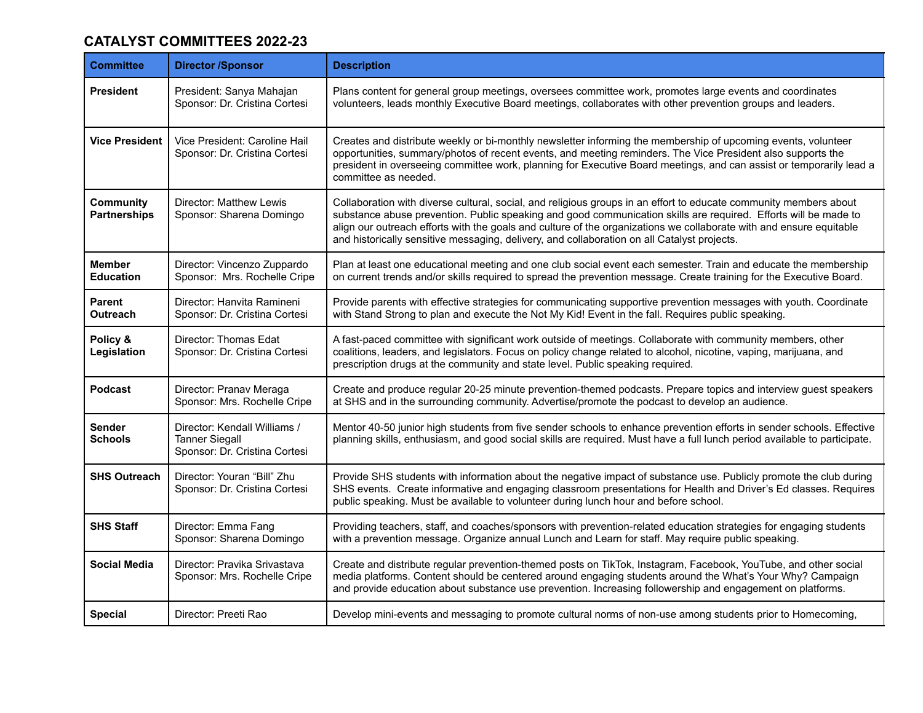## **CATALYST COMMITTEES 2022-23**

| <b>Committee</b>                        | <b>Director /Sponsor</b>                                                               | <b>Description</b>                                                                                                                                                                                                                                                                                                                                                                                                                                         |
|-----------------------------------------|----------------------------------------------------------------------------------------|------------------------------------------------------------------------------------------------------------------------------------------------------------------------------------------------------------------------------------------------------------------------------------------------------------------------------------------------------------------------------------------------------------------------------------------------------------|
| <b>President</b>                        | President: Sanya Mahajan<br>Sponsor: Dr. Cristina Cortesi                              | Plans content for general group meetings, oversees committee work, promotes large events and coordinates<br>volunteers, leads monthly Executive Board meetings, collaborates with other prevention groups and leaders.                                                                                                                                                                                                                                     |
| <b>Vice President</b>                   | Vice President: Caroline Hail<br>Sponsor: Dr. Cristina Cortesi                         | Creates and distribute weekly or bi-monthly newsletter informing the membership of upcoming events, volunteer<br>opportunities, summary/photos of recent events, and meeting reminders. The Vice President also supports the<br>president in overseeing committee work, planning for Executive Board meetings, and can assist or temporarily lead a<br>committee as needed.                                                                                |
| <b>Community</b><br><b>Partnerships</b> | Director: Matthew Lewis<br>Sponsor: Sharena Domingo                                    | Collaboration with diverse cultural, social, and religious groups in an effort to educate community members about<br>substance abuse prevention. Public speaking and good communication skills are required. Efforts will be made to<br>align our outreach efforts with the goals and culture of the organizations we collaborate with and ensure equitable<br>and historically sensitive messaging, delivery, and collaboration on all Catalyst projects. |
| <b>Member</b><br><b>Education</b>       | Director: Vincenzo Zuppardo<br>Sponsor: Mrs. Rochelle Cripe                            | Plan at least one educational meeting and one club social event each semester. Train and educate the membership<br>on current trends and/or skills required to spread the prevention message. Create training for the Executive Board.                                                                                                                                                                                                                     |
| Parent<br><b>Outreach</b>               | Director: Hanvita Ramineni<br>Sponsor: Dr. Cristina Cortesi                            | Provide parents with effective strategies for communicating supportive prevention messages with youth. Coordinate<br>with Stand Strong to plan and execute the Not My Kid! Event in the fall. Requires public speaking.                                                                                                                                                                                                                                    |
| Policy &<br>Legislation                 | Director: Thomas Edat<br>Sponsor: Dr. Cristina Cortesi                                 | A fast-paced committee with significant work outside of meetings. Collaborate with community members, other<br>coalitions, leaders, and legislators. Focus on policy change related to alcohol, nicotine, vaping, marijuana, and<br>prescription drugs at the community and state level. Public speaking required.                                                                                                                                         |
| <b>Podcast</b>                          | Director: Pranav Meraga<br>Sponsor: Mrs. Rochelle Cripe                                | Create and produce regular 20-25 minute prevention-themed podcasts. Prepare topics and interview guest speakers<br>at SHS and in the surrounding community. Advertise/promote the podcast to develop an audience.                                                                                                                                                                                                                                          |
| Sender<br><b>Schools</b>                | Director: Kendall Williams /<br><b>Tanner Siegall</b><br>Sponsor: Dr. Cristina Cortesi | Mentor 40-50 junior high students from five sender schools to enhance prevention efforts in sender schools. Effective<br>planning skills, enthusiasm, and good social skills are required. Must have a full lunch period available to participate.                                                                                                                                                                                                         |
| <b>SHS Outreach</b>                     | Director: Youran "Bill" Zhu<br>Sponsor: Dr. Cristina Cortesi                           | Provide SHS students with information about the negative impact of substance use. Publicly promote the club during<br>SHS events. Create informative and engaging classroom presentations for Health and Driver's Ed classes. Requires<br>public speaking. Must be available to volunteer during lunch hour and before school.                                                                                                                             |
| <b>SHS Staff</b>                        | Director: Emma Fang<br>Sponsor: Sharena Domingo                                        | Providing teachers, staff, and coaches/sponsors with prevention-related education strategies for engaging students<br>with a prevention message. Organize annual Lunch and Learn for staff. May require public speaking.                                                                                                                                                                                                                                   |
| <b>Social Media</b>                     | Director: Pravika Srivastava<br>Sponsor: Mrs. Rochelle Cripe                           | Create and distribute regular prevention-themed posts on TikTok, Instagram, Facebook, YouTube, and other social<br>media platforms. Content should be centered around engaging students around the What's Your Why? Campaign<br>and provide education about substance use prevention. Increasing followership and engagement on platforms.                                                                                                                 |
| <b>Special</b>                          | Director: Preeti Rao                                                                   | Develop mini-events and messaging to promote cultural norms of non-use among students prior to Homecoming,                                                                                                                                                                                                                                                                                                                                                 |